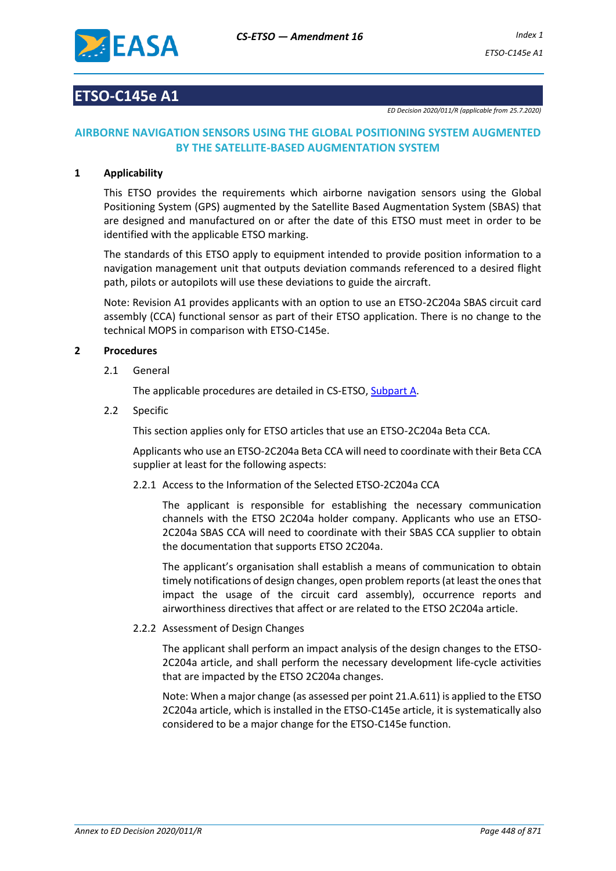

## **ETSO-C145e A1**

*ED Decision 2020/011/R (applicable from 25.7.2020)*

## **AIRBORNE NAVIGATION SENSORS USING THE GLOBAL POSITIONING SYSTEM AUGMENTED BY THE SATELLITE-BASED AUGMENTATION SYSTEM**

#### **1 Applicability**

This ETSO provides the requirements which airborne navigation sensors using the Global Positioning System (GPS) augmented by the Satellite Based Augmentation System (SBAS) that are designed and manufactured on or after the date of this ETSO must meet in order to be identified with the applicable ETSO marking.

The standards of this ETSO apply to equipment intended to provide position information to a navigation management unit that outputs deviation commands referenced to a desired flight path, pilots or autopilots will use these deviations to guide the aircraft.

Note: Revision A1 provides applicants with an option to use an ETSO-2C204a SBAS circuit card assembly (CCA) functional sensor as part of their ETSO application. There is no change to the technical MOPS in comparison with ETSO-C145e.

#### **2 Procedures**

2.1 General

The applicable procedures are detailed in CS-ETSO, Subpart A.

2.2 Specific

This section applies only for ETSO articles that use an ETSO-2C204a Beta CCA.

Applicants who use an ETSO-2C204a Beta CCA will need to coordinate with their Beta CCA supplier at least for the following aspects:

2.2.1 Access to the Information of the Selected ETSO-2C204a CCA

The applicant is responsible for establishing the necessary communication channels with the ETSO 2C204a holder company. Applicants who use an ETSO-2C204a SBAS CCA will need to coordinate with their SBAS CCA supplier to obtain the documentation that supports ETSO 2C204a.

The applicant's organisation shall establish a means of communication to obtain timely notifications of design changes, open problem reports (at least the ones that impact the usage of the circuit card assembly), occurrence reports and airworthiness directives that affect or are related to the ETSO 2C204a article.

## 2.2.2 Assessment of Design Changes

The applicant shall perform an impact analysis of the design changes to the ETSO-2C204a article, and shall perform the necessary development life-cycle activities that are impacted by the ETSO 2C204a changes.

Note: When a major change (as assessed per point 21.A.611) is applied to the ETSO 2C204a article, which is installed in the ETSO-C145e article, it is systematically also considered to be a major change for the ETSO-C145e function.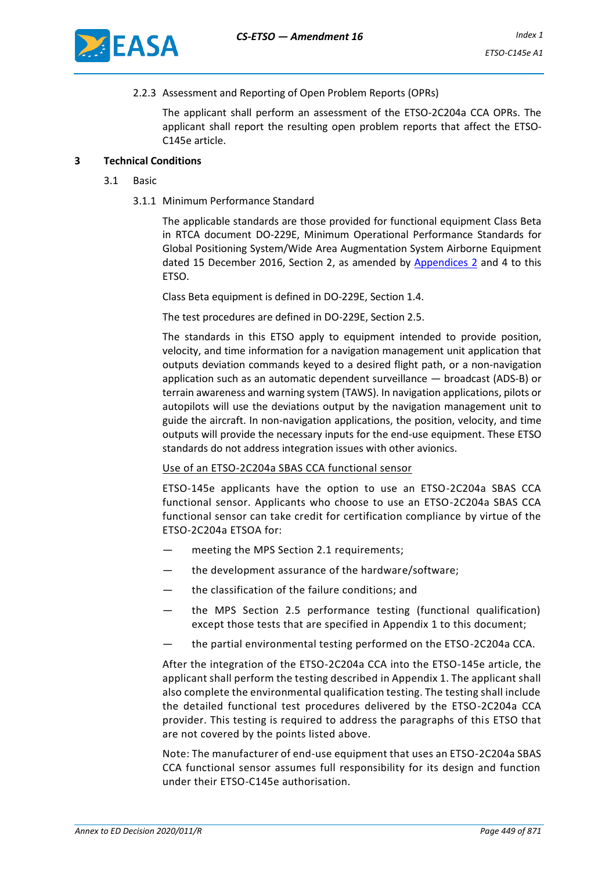

#### 2.2.3 Assessment and Reporting of Open Problem Reports (OPRs)

The applicant shall perform an assessment of the ETSO-2C204a CCA OPRs. The applicant shall report the resulting open problem reports that affect the ETSO-C145e article.

#### **3 Technical Conditions**

- 3.1 Basic
	- 3.1.1 Minimum Performance Standard

The applicable standards are those provided for functional equipment Class Beta in RTCA document DO-229E, Minimum Operational Performance Standards for Global Positioning System/Wide Area Augmentation System Airborne Equipment dated 15 December 2016, Section 2, as amended by [Appendices 2](#page-9-0) and 4 to this ETSO.

Class Beta equipment is defined in DO-229E, Section 1.4.

The test procedures are defined in DO-229E, Section 2.5.

The standards in this ETSO apply to equipment intended to provide position, velocity, and time information for a navigation management unit application that outputs deviation commands keyed to a desired flight path, or a non-navigation application such as an automatic dependent surveillance — broadcast (ADS-B) or terrain awareness and warning system (TAWS). In navigation applications, pilots or autopilots will use the deviations output by the navigation management unit to guide the aircraft. In non-navigation applications, the position, velocity, and time outputs will provide the necessary inputs for the end-use equipment. These ETSO standards do not address integration issues with other avionics.

#### Use of an ETSO-2C204a SBAS CCA functional sensor

ETSO-145e applicants have the option to use an ETSO-2C204a SBAS CCA functional sensor. Applicants who choose to use an ETSO-2C204a SBAS CCA functional sensor can take credit for certification compliance by virtue of the ETSO-2C204a ETSOA for:

- meeting the MPS Section 2.1 requirements;
- the development assurance of the hardware/software;
- the classification of the failure conditions; and
- the MPS Section 2.5 performance testing (functional qualification) except those tests that are specified in Appendix 1 to this document;
- the partial environmental testing performed on the ETSO-2C204a CCA.

After the integration of the ETSO-2C204a CCA into the ETSO-145e article, the applicant shall perform the testing described in Appendix 1. The applicant shall also complete the environmental qualification testing. The testing shall include the detailed functional test procedures delivered by the ETSO-2C204a CCA provider. This testing is required to address the paragraphs of this ETSO that are not covered by the points listed above.

Note: The manufacturer of end-use equipment that uses an ETSO-2C204a SBAS CCA functional sensor assumes full responsibility for its design and function under their ETSO-C145e authorisation.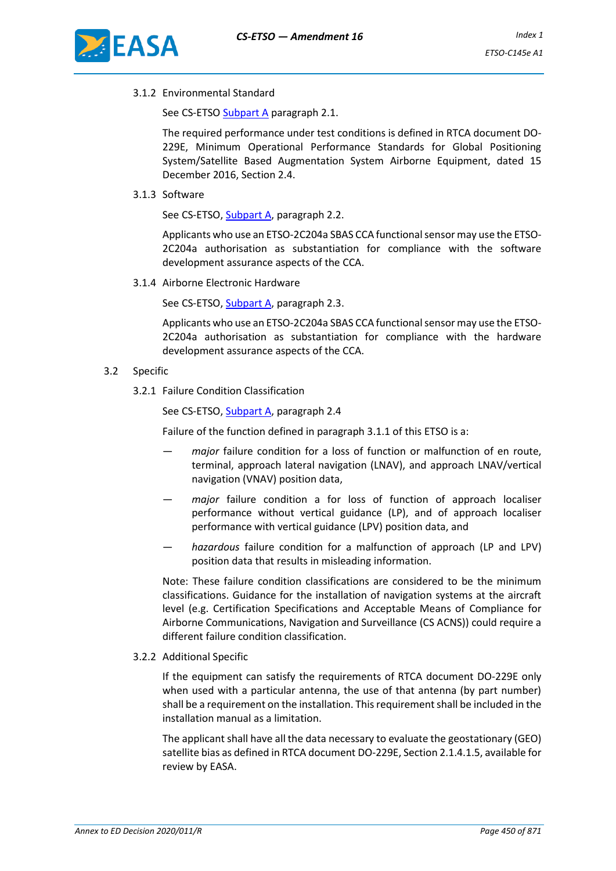

3.1.2 Environmental Standard

See CS-ETSO Subpart A paragraph 2.1.

The required performance under test conditions is defined in RTCA document DO-229E, Minimum Operational Performance Standards for Global Positioning System/Satellite Based Augmentation System Airborne Equipment, dated 15 December 2016, Section 2.4.

3.1.3 Software

See CS-ETSO, Subpart A, paragraph 2.2.

Applicants who use an ETSO-2C204a SBAS CCA functional sensor may use the ETSO-2C204a authorisation as substantiation for compliance with the software development assurance aspects of the CCA.

3.1.4 Airborne Electronic Hardware

See CS-ETSO, Subpart A, paragraph 2.3.

Applicants who use an ETSO-2C204a SBAS CCA functional sensor may use the ETSO-2C204a authorisation as substantiation for compliance with the hardware development assurance aspects of the CCA.

#### 3.2 Specific

3.2.1 Failure Condition Classification

See CS-ETSO, Subpart A, paragraph 2.4

Failure of the function defined in paragraph 3.1.1 of this ETSO is a:

- *major* failure condition for a loss of function or malfunction of en route, terminal, approach lateral navigation (LNAV), and approach LNAV/vertical navigation (VNAV) position data,
- *major* failure condition a for loss of function of approach localiser performance without vertical guidance (LP), and of approach localiser performance with vertical guidance (LPV) position data, and
- *hazardous* failure condition for a malfunction of approach (LP and LPV) position data that results in misleading information.

Note: These failure condition classifications are considered to be the minimum classifications. Guidance for the installation of navigation systems at the aircraft level (e.g. Certification Specifications and Acceptable Means of Compliance for Airborne Communications, Navigation and Surveillance (CS ACNS)) could require a different failure condition classification.

3.2.2 Additional Specific

If the equipment can satisfy the requirements of RTCA document DO-229E only when used with a particular antenna, the use of that antenna (by part number) shall be a requirement on the installation. This requirement shall be included in the installation manual as a limitation.

The applicant shall have all the data necessary to evaluate the geostationary (GEO) satellite bias as defined in RTCA document DO-229E, Section 2.1.4.1.5, available for review by EASA.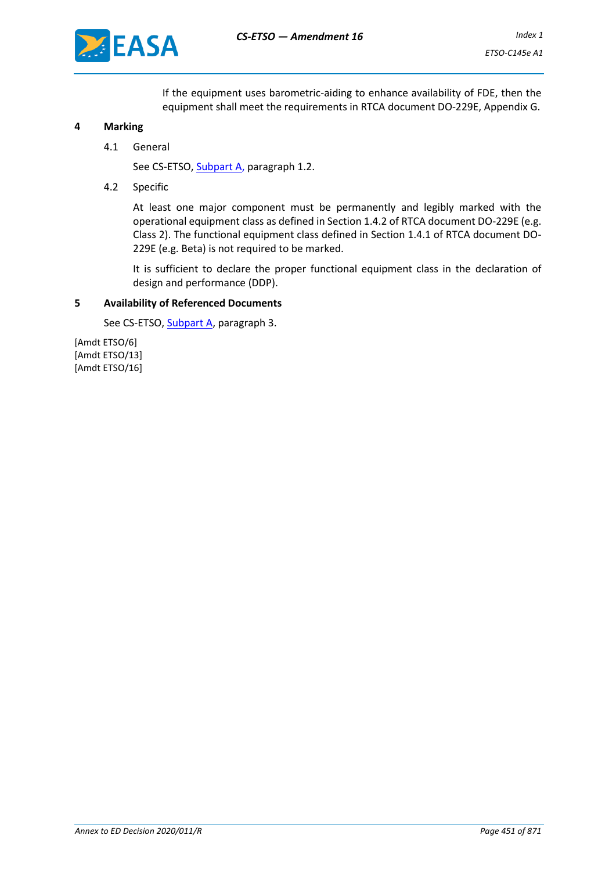

If the equipment uses barometric-aiding to enhance availability of FDE, then the equipment shall meet the requirements in RTCA document DO-229E, Appendix G.

#### **4 Marking**

4.1 General

See CS-ETSO, Subpart A, paragraph 1.2.

4.2 Specific

At least one major component must be permanently and legibly marked with the operational equipment class as defined in Section 1.4.2 of RTCA document DO-229E (e.g. Class 2). The functional equipment class defined in Section 1.4.1 of RTCA document DO-229E (e.g. Beta) is not required to be marked.

It is sufficient to declare the proper functional equipment class in the declaration of design and performance (DDP).

#### **5 Availability of Referenced Documents**

See CS-ETSO, Subpart A, paragraph 3.

[Amdt ETSO/6] [Amdt ETSO/13] [Amdt ETSO/16]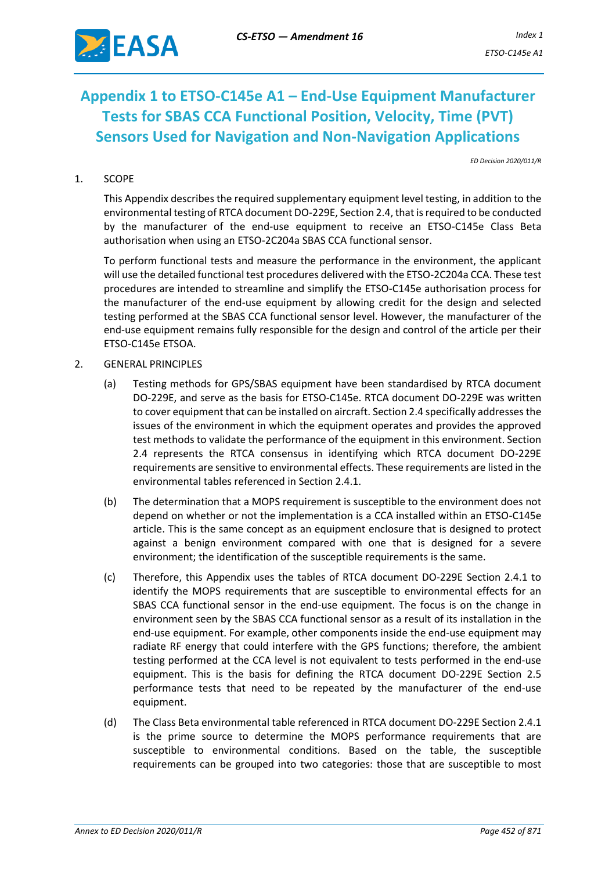

# **Appendix 1 to ETSO-C145e A1 – End-Use Equipment Manufacturer Tests for SBAS CCA Functional Position, Velocity, Time (PVT) Sensors Used for Navigation and Non-Navigation Applications**

*ED Decision 2020/011/R*

#### 1. SCOPE

This Appendix describes the required supplementary equipment level testing, in addition to the environmental testing of RTCA document DO-229E, Section 2.4, that is required to be conducted by the manufacturer of the end-use equipment to receive an ETSO-C145e Class Beta authorisation when using an ETSO-2C204a SBAS CCA functional sensor.

To perform functional tests and measure the performance in the environment, the applicant will use the detailed functional test procedures delivered with the ETSO-2C204a CCA. These test procedures are intended to streamline and simplify the ETSO-C145e authorisation process for the manufacturer of the end-use equipment by allowing credit for the design and selected testing performed at the SBAS CCA functional sensor level. However, the manufacturer of the end-use equipment remains fully responsible for the design and control of the article per their ETSO-C145e ETSOA.

#### 2. GENERAL PRINCIPLES

- (a) Testing methods for GPS/SBAS equipment have been standardised by RTCA document DO-229E, and serve as the basis for ETSO-C145e. RTCA document DO-229E was written to cover equipment that can be installed on aircraft. Section 2.4 specifically addresses the issues of the environment in which the equipment operates and provides the approved test methods to validate the performance of the equipment in this environment. Section 2.4 represents the RTCA consensus in identifying which RTCA document DO-229E requirements are sensitive to environmental effects. These requirements are listed in the environmental tables referenced in Section 2.4.1.
- (b) The determination that a MOPS requirement is susceptible to the environment does not depend on whether or not the implementation is a CCA installed within an ETSO-C145e article. This is the same concept as an equipment enclosure that is designed to protect against a benign environment compared with one that is designed for a severe environment; the identification of the susceptible requirements is the same.
- (c) Therefore, this Appendix uses the tables of RTCA document DO-229E Section 2.4.1 to identify the MOPS requirements that are susceptible to environmental effects for an SBAS CCA functional sensor in the end-use equipment. The focus is on the change in environment seen by the SBAS CCA functional sensor as a result of its installation in the end-use equipment. For example, other components inside the end-use equipment may radiate RF energy that could interfere with the GPS functions; therefore, the ambient testing performed at the CCA level is not equivalent to tests performed in the end-use equipment. This is the basis for defining the RTCA document DO-229E Section 2.5 performance tests that need to be repeated by the manufacturer of the end-use equipment.
- (d) The Class Beta environmental table referenced in RTCA document DO-229E Section 2.4.1 is the prime source to determine the MOPS performance requirements that are susceptible to environmental conditions. Based on the table, the susceptible requirements can be grouped into two categories: those that are susceptible to most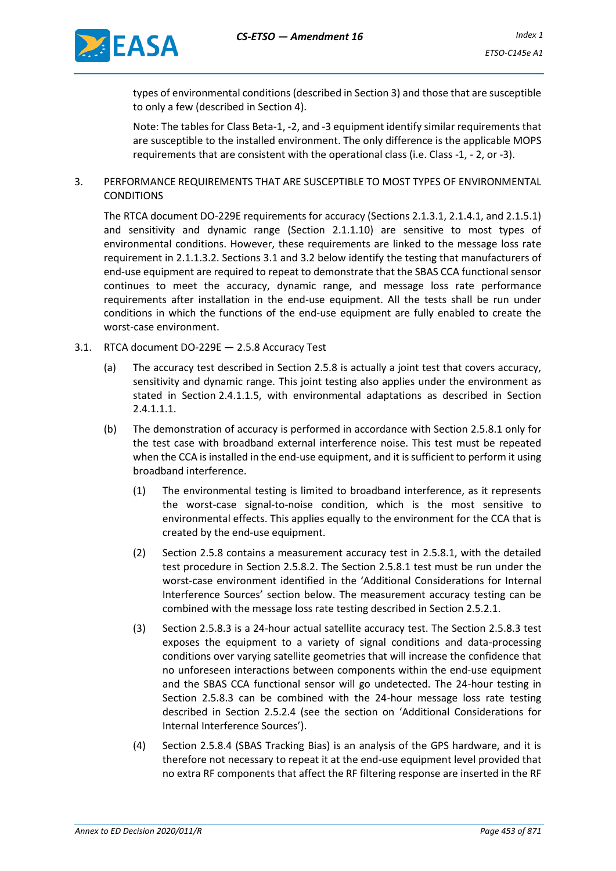

types of environmental conditions (described in Section 3) and those that are susceptible to only a few (described in Section 4).

Note: The tables for Class Beta-1, -2, and -3 equipment identify similar requirements that are susceptible to the installed environment. The only difference is the applicable MOPS requirements that are consistent with the operational class (i.e. Class -1, - 2, or -3).

3. PERFORMANCE REQUIREMENTS THAT ARE SUSCEPTIBLE TO MOST TYPES OF ENVIRONMENTAL **CONDITIONS** 

The RTCA document DO-229E requirements for accuracy (Sections 2.1.3.1, 2.1.4.1, and 2.1.5.1) and sensitivity and dynamic range (Section 2.1.1.10) are sensitive to most types of environmental conditions. However, these requirements are linked to the message loss rate requirement in 2.1.1.3.2. Sections 3.1 and 3.2 below identify the testing that manufacturers of end-use equipment are required to repeat to demonstrate that the SBAS CCA functional sensor continues to meet the accuracy, dynamic range, and message loss rate performance requirements after installation in the end-use equipment. All the tests shall be run under conditions in which the functions of the end-use equipment are fully enabled to create the worst-case environment.

- 3.1. RTCA document DO-229E 2.5.8 Accuracy Test
	- (a) The accuracy test described in Section 2.5.8 is actually a joint test that covers accuracy, sensitivity and dynamic range. This joint testing also applies under the environment as stated in Section 2.4.1.1.5, with environmental adaptations as described in Section 2.4.1.1.1.
	- (b) The demonstration of accuracy is performed in accordance with Section 2.5.8.1 only for the test case with broadband external interference noise. This test must be repeated when the CCA is installed in the end-use equipment, and it is sufficient to perform it using broadband interference.
		- (1) The environmental testing is limited to broadband interference, as it represents the worst-case signal-to-noise condition, which is the most sensitive to environmental effects. This applies equally to the environment for the CCA that is created by the end-use equipment.
		- (2) Section 2.5.8 contains a measurement accuracy test in 2.5.8.1, with the detailed test procedure in Section 2.5.8.2. The Section 2.5.8.1 test must be run under the worst-case environment identified in the 'Additional Considerations for Internal Interference Sources' section below. The measurement accuracy testing can be combined with the message loss rate testing described in Section 2.5.2.1.
		- (3) Section 2.5.8.3 is a 24-hour actual satellite accuracy test. The Section 2.5.8.3 test exposes the equipment to a variety of signal conditions and data-processing conditions over varying satellite geometries that will increase the confidence that no unforeseen interactions between components within the end-use equipment and the SBAS CCA functional sensor will go undetected. The 24-hour testing in Section 2.5.8.3 can be combined with the 24-hour message loss rate testing described in Section 2.5.2.4 (see the section on 'Additional Considerations for Internal Interference Sources').
		- (4) Section 2.5.8.4 (SBAS Tracking Bias) is an analysis of the GPS hardware, and it is therefore not necessary to repeat it at the end-use equipment level provided that no extra RF components that affect the RF filtering response are inserted in the RF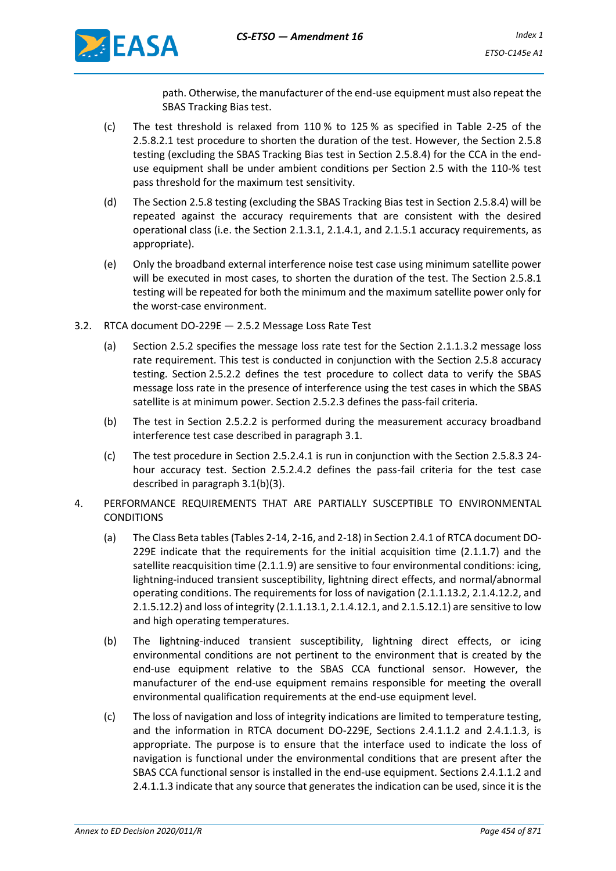

path. Otherwise, the manufacturer of the end-use equipment must also repeat the SBAS Tracking Bias test.

- (c) The test threshold is relaxed from 110 % to 125 % as specified in Table 2-25 of the 2.5.8.2.1 test procedure to shorten the duration of the test. However, the Section 2.5.8 testing (excluding the SBAS Tracking Bias test in Section 2.5.8.4) for the CCA in the enduse equipment shall be under ambient conditions per Section 2.5 with the 110-% test pass threshold for the maximum test sensitivity.
- (d) The Section 2.5.8 testing (excluding the SBAS Tracking Bias test in Section 2.5.8.4) will be repeated against the accuracy requirements that are consistent with the desired operational class (i.e. the Section 2.1.3.1, 2.1.4.1, and 2.1.5.1 accuracy requirements, as appropriate).
- (e) Only the broadband external interference noise test case using minimum satellite power will be executed in most cases, to shorten the duration of the test. The Section 2.5.8.1 testing will be repeated for both the minimum and the maximum satellite power only for the worst-case environment.
- 3.2. RTCA document DO-229E 2.5.2 Message Loss Rate Test
	- (a) Section 2.5.2 specifies the message loss rate test for the Section 2.1.1.3.2 message loss rate requirement. This test is conducted in conjunction with the Section 2.5.8 accuracy testing. Section 2.5.2.2 defines the test procedure to collect data to verify the SBAS message loss rate in the presence of interference using the test cases in which the SBAS satellite is at minimum power. Section 2.5.2.3 defines the pass-fail criteria.
	- (b) The test in Section 2.5.2.2 is performed during the measurement accuracy broadband interference test case described in paragraph 3.1.
	- (c) The test procedure in Section 2.5.2.4.1 is run in conjunction with the Section 2.5.8.3 24 hour accuracy test. Section 2.5.2.4.2 defines the pass-fail criteria for the test case described in paragraph 3.1(b)(3).
- 4. PERFORMANCE REQUIREMENTS THAT ARE PARTIALLY SUSCEPTIBLE TO ENVIRONMENTAL **CONDITIONS** 
	- (a) The Class Beta tables (Tables 2-14, 2-16, and 2-18) in Section 2.4.1 of RTCA document DO-229E indicate that the requirements for the initial acquisition time (2.1.1.7) and the satellite reacquisition time (2.1.1.9) are sensitive to four environmental conditions: icing, lightning-induced transient susceptibility, lightning direct effects, and normal/abnormal operating conditions. The requirements for loss of navigation (2.1.1.13.2, 2.1.4.12.2, and 2.1.5.12.2) and loss of integrity (2.1.1.13.1, 2.1.4.12.1, and 2.1.5.12.1) are sensitive to low and high operating temperatures.
	- (b) The lightning-induced transient susceptibility, lightning direct effects, or icing environmental conditions are not pertinent to the environment that is created by the end-use equipment relative to the SBAS CCA functional sensor. However, the manufacturer of the end-use equipment remains responsible for meeting the overall environmental qualification requirements at the end-use equipment level.
	- (c) The loss of navigation and loss of integrity indications are limited to temperature testing, and the information in RTCA document DO-229E, Sections 2.4.1.1.2 and 2.4.1.1.3, is appropriate. The purpose is to ensure that the interface used to indicate the loss of navigation is functional under the environmental conditions that are present after the SBAS CCA functional sensor is installed in the end-use equipment. Sections 2.4.1.1.2 and 2.4.1.1.3 indicate that any source that generates the indication can be used, since it is the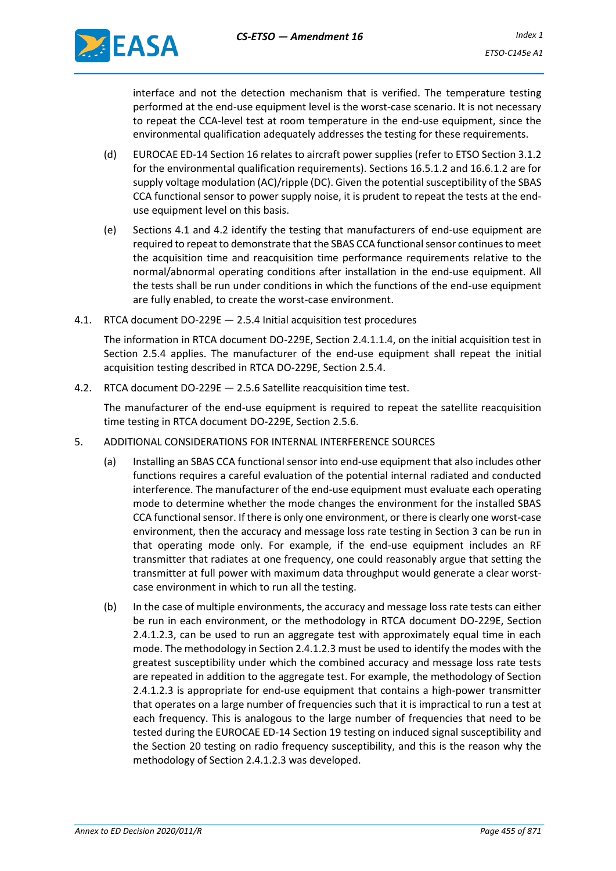

interface and not the detection mechanism that is verified. The temperature testing performed at the end-use equipment level is the worst-case scenario. It is not necessary to repeat the CCA-level test at room temperature in the end-use equipment, since the environmental qualification adequately addresses the testing for these requirements.

- (d) EUROCAE ED-14 Section 16 relates to aircraft power supplies (refer to ETSO Section 3.1.2 for the environmental qualification requirements). Sections 16.5.1.2 and 16.6.1.2 are for supply voltage modulation (AC)/ripple (DC). Given the potential susceptibility of the SBAS CCA functional sensor to power supply noise, it is prudent to repeat the tests at the enduse equipment level on this basis.
- (e) Sections 4.1 and 4.2 identify the testing that manufacturers of end-use equipment are required to repeat to demonstrate that the SBAS CCA functional sensor continues to meet the acquisition time and reacquisition time performance requirements relative to the normal/abnormal operating conditions after installation in the end-use equipment. All the tests shall be run under conditions in which the functions of the end-use equipment are fully enabled, to create the worst-case environment.
- 4.1. RTCA document DO-229E 2.5.4 Initial acquisition test procedures

The information in RTCA document DO-229E, Section 2.4.1.1.4, on the initial acquisition test in Section 2.5.4 applies. The manufacturer of the end-use equipment shall repeat the initial acquisition testing described in RTCA DO-229E, Section 2.5.4.

4.2. RTCA document DO-229E — 2.5.6 Satellite reacquisition time test.

The manufacturer of the end-use equipment is required to repeat the satellite reacquisition time testing in RTCA document DO-229E, Section 2.5.6.

- 5. ADDITIONAL CONSIDERATIONS FOR INTERNAL INTERFERENCE SOURCES
	- (a) Installing an SBAS CCA functional sensor into end-use equipment that also includes other functions requires a careful evaluation of the potential internal radiated and conducted interference. The manufacturer of the end-use equipment must evaluate each operating mode to determine whether the mode changes the environment for the installed SBAS CCA functional sensor. If there is only one environment, or there is clearly one worst-case environment, then the accuracy and message loss rate testing in Section 3 can be run in that operating mode only. For example, if the end-use equipment includes an RF transmitter that radiates at one frequency, one could reasonably argue that setting the transmitter at full power with maximum data throughput would generate a clear worstcase environment in which to run all the testing.
	- (b) In the case of multiple environments, the accuracy and message loss rate tests can either be run in each environment, or the methodology in RTCA document DO-229E, Section 2.4.1.2.3, can be used to run an aggregate test with approximately equal time in each mode. The methodology in Section 2.4.1.2.3 must be used to identify the modes with the greatest susceptibility under which the combined accuracy and message loss rate tests are repeated in addition to the aggregate test. For example, the methodology of Section 2.4.1.2.3 is appropriate for end-use equipment that contains a high-power transmitter that operates on a large number of frequencies such that it is impractical to run a test at each frequency. This is analogous to the large number of frequencies that need to be tested during the EUROCAE ED-14 Section 19 testing on induced signal susceptibility and the Section 20 testing on radio frequency susceptibility, and this is the reason why the methodology of Section 2.4.1.2.3 was developed.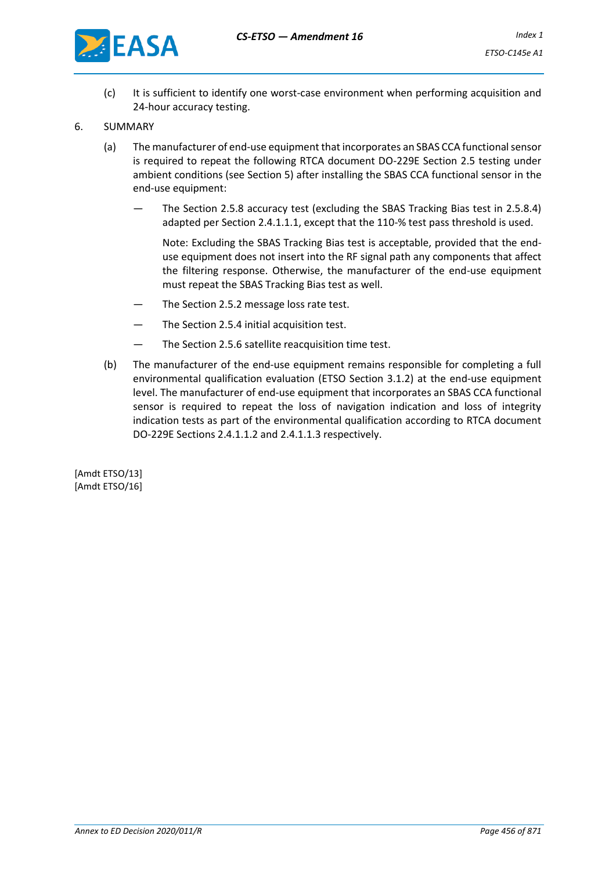

- (c) It is sufficient to identify one worst-case environment when performing acquisition and 24-hour accuracy testing.
- 6. SUMMARY
	- (a) The manufacturer of end-use equipment that incorporates an SBAS CCA functional sensor is required to repeat the following RTCA document DO-229E Section 2.5 testing under ambient conditions (see Section 5) after installing the SBAS CCA functional sensor in the end-use equipment:
		- The Section 2.5.8 accuracy test (excluding the SBAS Tracking Bias test in 2.5.8.4) adapted per Section 2.4.1.1.1, except that the 110-% test pass threshold is used.

Note: Excluding the SBAS Tracking Bias test is acceptable, provided that the enduse equipment does not insert into the RF signal path any components that affect the filtering response. Otherwise, the manufacturer of the end-use equipment must repeat the SBAS Tracking Bias test as well.

- The Section 2.5.2 message loss rate test.
- The Section 2.5.4 initial acquisition test.
- The Section 2.5.6 satellite reacquisition time test.
- (b) The manufacturer of the end-use equipment remains responsible for completing a full environmental qualification evaluation (ETSO Section 3.1.2) at the end-use equipment level. The manufacturer of end-use equipment that incorporates an SBAS CCA functional sensor is required to repeat the loss of navigation indication and loss of integrity indication tests as part of the environmental qualification according to RTCA document DO-229E Sections 2.4.1.1.2 and 2.4.1.1.3 respectively.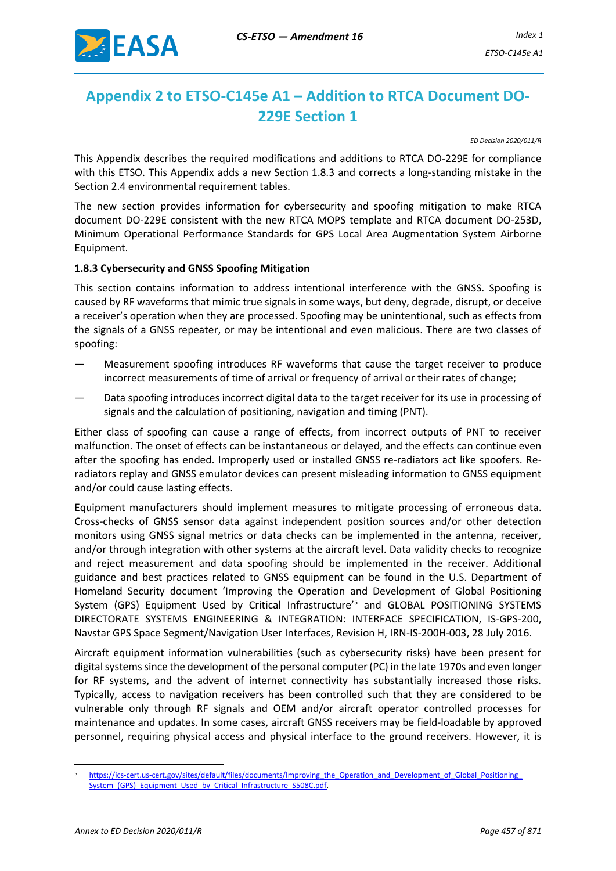

# <span id="page-9-0"></span>**Appendix 2 to ETSO-C145e A1 – Addition to RTCA Document DO-229E Section 1**

*ED Decision 2020/011/R*

This Appendix describes the required modifications and additions to RTCA DO-229E for compliance with this ETSO. This Appendix adds a new Section 1.8.3 and corrects a long-standing mistake in the Section 2.4 environmental requirement tables.

The new section provides information for cybersecurity and spoofing mitigation to make RTCA document DO-229E consistent with the new RTCA MOPS template and RTCA document DO-253D, Minimum Operational Performance Standards for GPS Local Area Augmentation System Airborne Equipment.

#### **1.8.3 Cybersecurity and GNSS Spoofing Mitigation**

This section contains information to address intentional interference with the GNSS. Spoofing is caused by RF waveforms that mimic true signals in some ways, but deny, degrade, disrupt, or deceive a receiver's operation when they are processed. Spoofing may be unintentional, such as effects from the signals of a GNSS repeater, or may be intentional and even malicious. There are two classes of spoofing:

- Measurement spoofing introduces RF waveforms that cause the target receiver to produce incorrect measurements of time of arrival or frequency of arrival or their rates of change;
- Data spoofing introduces incorrect digital data to the target receiver for its use in processing of signals and the calculation of positioning, navigation and timing (PNT).

Either class of spoofing can cause a range of effects, from incorrect outputs of PNT to receiver malfunction. The onset of effects can be instantaneous or delayed, and the effects can continue even after the spoofing has ended. Improperly used or installed GNSS re-radiators act like spoofers. Reradiators replay and GNSS emulator devices can present misleading information to GNSS equipment and/or could cause lasting effects.

Equipment manufacturers should implement measures to mitigate processing of erroneous data. Cross-checks of GNSS sensor data against independent position sources and/or other detection monitors using GNSS signal metrics or data checks can be implemented in the antenna, receiver, and/or through integration with other systems at the aircraft level. Data validity checks to recognize and reject measurement and data spoofing should be implemented in the receiver. Additional guidance and best practices related to GNSS equipment can be found in the U.S. Department of Homeland Security document 'Improving the Operation and Development of Global Positioning System (GPS) Equipment Used by Critical Infrastructure'<sup>5</sup> and GLOBAL POSITIONING SYSTEMS DIRECTORATE SYSTEMS ENGINEERING & INTEGRATION: INTERFACE SPECIFICATION, IS-GPS-200, Navstar GPS Space Segment/Navigation User Interfaces, Revision H, IRN-IS-200H-003, 28 July 2016.

Aircraft equipment information vulnerabilities (such as cybersecurity risks) have been present for digital systems since the development of the personal computer (PC) in the late 1970s and even longer for RF systems, and the advent of internet connectivity has substantially increased those risks. Typically, access to navigation receivers has been controlled such that they are considered to be vulnerable only through RF signals and OEM and/or aircraft operator controlled processes for maintenance and updates. In some cases, aircraft GNSS receivers may be field-loadable by approved personnel, requiring physical access and physical interface to the ground receivers. However, it is

https://ics-cert.us-cert.gov/sites/default/files/documents/Improving\_the\_Operation\_and\_Development\_of\_Global\_Positioning System (GPS) Equipment Used by Critical Infrastructure S508C.pdf.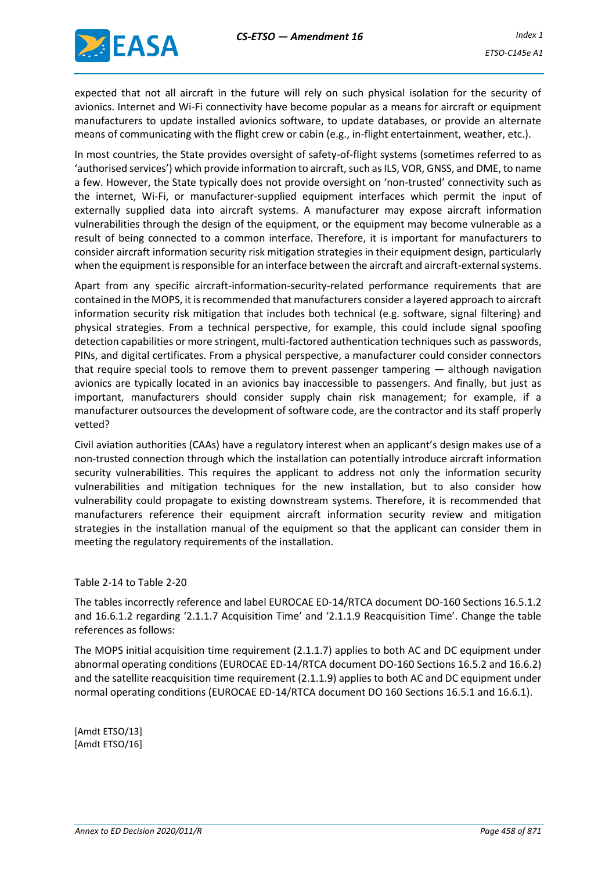

expected that not all aircraft in the future will rely on such physical isolation for the security of avionics. Internet and Wi-Fi connectivity have become popular as a means for aircraft or equipment manufacturers to update installed avionics software, to update databases, or provide an alternate means of communicating with the flight crew or cabin (e.g., in-flight entertainment, weather, etc.).

In most countries, the State provides oversight of safety-of-flight systems (sometimes referred to as 'authorised services') which provide information to aircraft, such as ILS, VOR, GNSS, and DME, to name a few. However, the State typically does not provide oversight on 'non-trusted' connectivity such as the internet, Wi-Fi, or manufacturer-supplied equipment interfaces which permit the input of externally supplied data into aircraft systems. A manufacturer may expose aircraft information vulnerabilities through the design of the equipment, or the equipment may become vulnerable as a result of being connected to a common interface. Therefore, it is important for manufacturers to consider aircraft information security risk mitigation strategies in their equipment design, particularly when the equipment is responsible for an interface between the aircraft and aircraft-external systems.

Apart from any specific aircraft-information-security-related performance requirements that are contained in the MOPS, it is recommended that manufacturers consider a layered approach to aircraft information security risk mitigation that includes both technical (e.g. software, signal filtering) and physical strategies. From a technical perspective, for example, this could include signal spoofing detection capabilities or more stringent, multi-factored authentication techniques such as passwords, PINs, and digital certificates. From a physical perspective, a manufacturer could consider connectors that require special tools to remove them to prevent passenger tampering — although navigation avionics are typically located in an avionics bay inaccessible to passengers. And finally, but just as important, manufacturers should consider supply chain risk management; for example, if a manufacturer outsources the development of software code, are the contractor and its staff properly vetted?

Civil aviation authorities (CAAs) have a regulatory interest when an applicant's design makes use of a non-trusted connection through which the installation can potentially introduce aircraft information security vulnerabilities. This requires the applicant to address not only the information security vulnerabilities and mitigation techniques for the new installation, but to also consider how vulnerability could propagate to existing downstream systems. Therefore, it is recommended that manufacturers reference their equipment aircraft information security review and mitigation strategies in the installation manual of the equipment so that the applicant can consider them in meeting the regulatory requirements of the installation.

#### Table 2-14 to Table 2-20

The tables incorrectly reference and label EUROCAE ED-14/RTCA document DO-160 Sections 16.5.1.2 and 16.6.1.2 regarding '2.1.1.7 Acquisition Time' and '2.1.1.9 Reacquisition Time'. Change the table references as follows:

The MOPS initial acquisition time requirement (2.1.1.7) applies to both AC and DC equipment under abnormal operating conditions (EUROCAE ED-14/RTCA document DO-160 Sections 16.5.2 and 16.6.2) and the satellite reacquisition time requirement (2.1.1.9) applies to both AC and DC equipment under normal operating conditions (EUROCAE ED-14/RTCA document DO 160 Sections 16.5.1 and 16.6.1).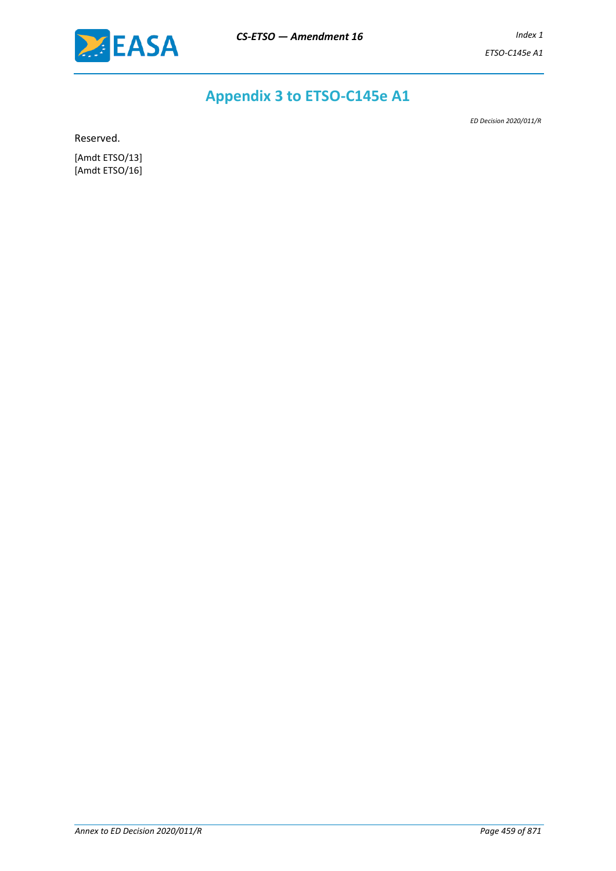

# **Appendix 3 to ETSO-C145e A1**

*ED Decision 2020/011/R*

Reserved.